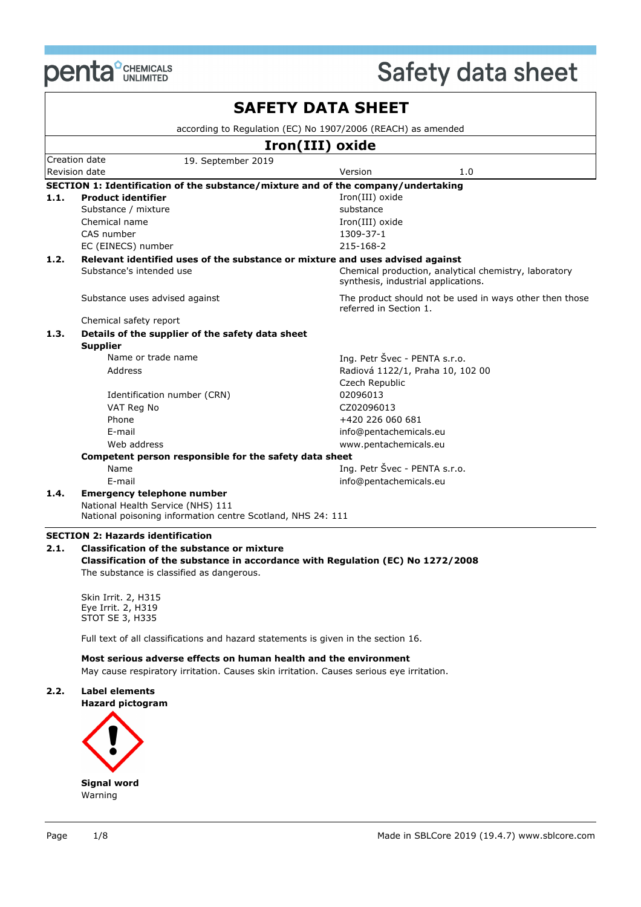

 $\overline{\mathbf{1}}$ 

|      |                                                                                   | according to Regulation (EC) No 1907/2006 (REACH) as amended                                 |
|------|-----------------------------------------------------------------------------------|----------------------------------------------------------------------------------------------|
|      |                                                                                   | Iron(III) oxide                                                                              |
|      | Creation date<br>19. September 2019                                               |                                                                                              |
|      | Revision date                                                                     | Version<br>1.0                                                                               |
|      | SECTION 1: Identification of the substance/mixture and of the company/undertaking |                                                                                              |
| 1.1. | <b>Product identifier</b>                                                         | Iron(III) oxide                                                                              |
|      | Substance / mixture                                                               | substance                                                                                    |
|      | Chemical name                                                                     | Iron(III) oxide                                                                              |
|      | CAS number                                                                        | 1309-37-1                                                                                    |
|      | EC (EINECS) number                                                                | 215-168-2                                                                                    |
| 1.2. | Relevant identified uses of the substance or mixture and uses advised against     |                                                                                              |
|      | Substance's intended use                                                          | Chemical production, analytical chemistry, laboratory<br>synthesis, industrial applications. |
|      | Substance uses advised against                                                    | The product should not be used in ways other then those<br>referred in Section 1.            |
|      | Chemical safety report                                                            |                                                                                              |
| 1.3. | Details of the supplier of the safety data sheet<br><b>Supplier</b>               |                                                                                              |
|      | Name or trade name                                                                | Ing. Petr Švec - PENTA s.r.o.                                                                |
|      | Address                                                                           | Radiová 1122/1, Praha 10, 102 00                                                             |
|      |                                                                                   | Czech Republic                                                                               |
|      | Identification number (CRN)                                                       | 02096013                                                                                     |
|      | VAT Reg No                                                                        | CZ02096013                                                                                   |
|      | Phone                                                                             | +420 226 060 681                                                                             |
|      | F-mail                                                                            | info@pentachemicals.eu                                                                       |
|      | Web address                                                                       | www.pentachemicals.eu                                                                        |
|      | Competent person responsible for the safety data sheet                            |                                                                                              |
|      | Name                                                                              | Ing. Petr Švec - PENTA s.r.o.                                                                |
|      | E-mail                                                                            | info@pentachemicals.eu                                                                       |
| 1.4. | <b>Emergency telephone number</b><br>National Health Service (NHS) 111            |                                                                                              |
|      | National poisoning information centre Scotland, NHS 24: 111                       |                                                                                              |
|      |                                                                                   |                                                                                              |
|      | <b>SECTION 2: Hazards identification</b>                                          |                                                                                              |
| 2.1. | <b>Classification of the substance or mixture</b>                                 |                                                                                              |
|      | Classification of the substance in accordance with Regulation (EC) No 1272/2008   |                                                                                              |
|      | The substance is classified as dangerous.                                         |                                                                                              |

Skin Irrit. 2, H315 Eye Irrit. 2, H319 STOT SE 3, H335

Full text of all classifications and hazard statements is given in the section 16.

**Most serious adverse effects on human health and the environment**

May cause respiratory irritation. Causes skin irritation. Causes serious eye irritation.

# **2.2. Label elements**

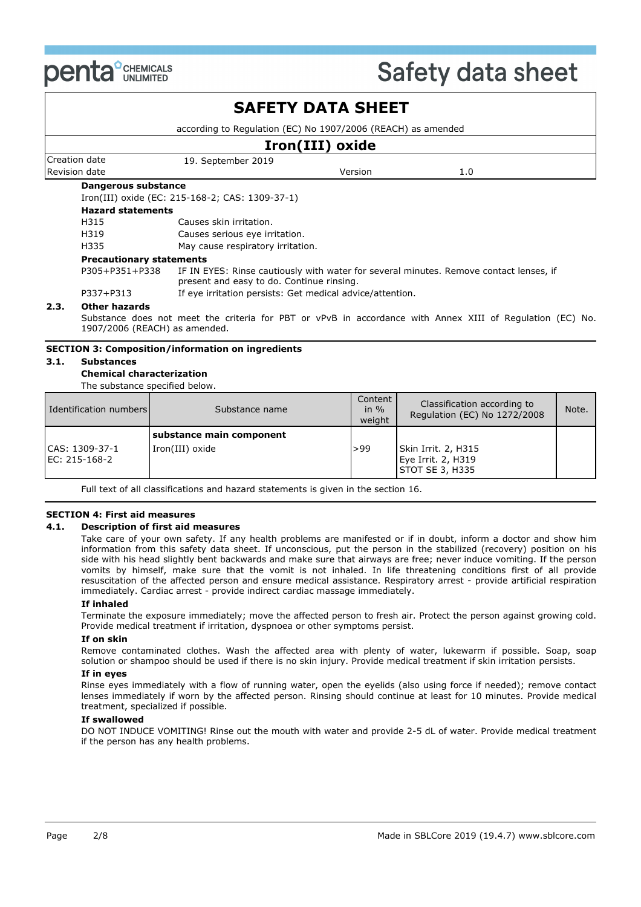

# **SAFETY DATA SHEET**

according to Regulation (EC) No 1907/2006 (REACH) as amended

| Iron(III) oxide                                                        |                                                                                                                                     |         |     |  |  |
|------------------------------------------------------------------------|-------------------------------------------------------------------------------------------------------------------------------------|---------|-----|--|--|
| Creation date                                                          | 19. September 2019                                                                                                                  |         |     |  |  |
| Revision date                                                          |                                                                                                                                     | Version | 1.0 |  |  |
| Dangerous substance                                                    |                                                                                                                                     |         |     |  |  |
|                                                                        | Iron(III) oxide (EC: 215-168-2; CAS: 1309-37-1)                                                                                     |         |     |  |  |
| <b>Hazard statements</b>                                               |                                                                                                                                     |         |     |  |  |
| H315                                                                   | Causes skin irritation.                                                                                                             |         |     |  |  |
| H319                                                                   | Causes serious eye irritation.                                                                                                      |         |     |  |  |
| H335                                                                   | May cause respiratory irritation.                                                                                                   |         |     |  |  |
| <b>Precautionary statements</b>                                        |                                                                                                                                     |         |     |  |  |
| P305+P351+P338                                                         | IF IN EYES: Rinse cautiously with water for several minutes. Remove contact lenses, if<br>present and easy to do. Continue rinsing. |         |     |  |  |
| If eye irritation persists: Get medical advice/attention.<br>P337+P313 |                                                                                                                                     |         |     |  |  |

#### **2.3. Other hazards**

Substance does not meet the criteria for PBT or vPvB in accordance with Annex XIII of Regulation (EC) No. 1907/2006 (REACH) as amended.

#### **SECTION 3: Composition/information on ingredients**

#### **3.1. Substances**

#### **Chemical characterization**

The substance specified below.

| Identification numbers          | Substance name                              | Content<br>in $%$<br>weight | Classification according to<br>Regulation (EC) No 1272/2008  | Note. |
|---------------------------------|---------------------------------------------|-----------------------------|--------------------------------------------------------------|-------|
| CAS: 1309-37-1<br>EC: 215-168-2 | substance main component<br>Iron(III) oxide | >99                         | Skin Irrit. 2, H315<br>Eye Irrit. 2, H319<br>STOT SE 3, H335 |       |

Full text of all classifications and hazard statements is given in the section 16.

#### **SECTION 4: First aid measures**

#### **4.1. Description of first aid measures**

Take care of your own safety. If any health problems are manifested or if in doubt, inform a doctor and show him information from this safety data sheet. If unconscious, put the person in the stabilized (recovery) position on his side with his head slightly bent backwards and make sure that airways are free; never induce vomiting. If the person vomits by himself, make sure that the vomit is not inhaled. In life threatening conditions first of all provide resuscitation of the affected person and ensure medical assistance. Respiratory arrest - provide artificial respiration immediately. Cardiac arrest - provide indirect cardiac massage immediately.

#### **If inhaled**

Terminate the exposure immediately; move the affected person to fresh air. Protect the person against growing cold. Provide medical treatment if irritation, dyspnoea or other symptoms persist.

#### **If on skin**

Remove contaminated clothes. Wash the affected area with plenty of water, lukewarm if possible. Soap, soap solution or shampoo should be used if there is no skin injury. Provide medical treatment if skin irritation persists.

#### **If in eyes**

Rinse eyes immediately with a flow of running water, open the eyelids (also using force if needed); remove contact lenses immediately if worn by the affected person. Rinsing should continue at least for 10 minutes. Provide medical treatment, specialized if possible.

#### **If swallowed**

DO NOT INDUCE VOMITING! Rinse out the mouth with water and provide 2-5 dL of water. Provide medical treatment if the person has any health problems.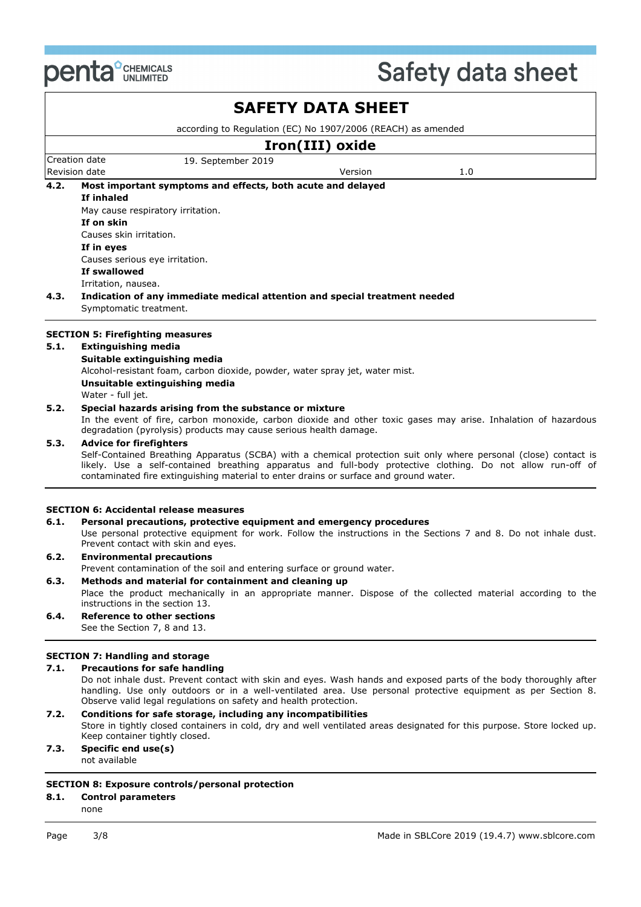

## Creation date 19. September 2019 Revision date **Version** 2.0 **SAFETY DATA SHEET** according to Regulation (EC) No 1907/2006 (REACH) as amended **Iron(III) oxide 4.2. Most important symptoms and effects, both acute and delayed If inhaled** May cause respiratory irritation. **If on skin** Causes skin irritation. **If in eyes** Causes serious eye irritation. **If swallowed** Irritation, nausea. **4.3. Indication of any immediate medical attention and special treatment needed** Symptomatic treatment. **SECTION 5: Firefighting measures 5.1. Extinguishing media Suitable extinguishing media** Alcohol-resistant foam, carbon dioxide, powder, water spray jet, water mist. **Unsuitable extinguishing media**

Water - full jet.

#### **5.2. Special hazards arising from the substance or mixture**

In the event of fire, carbon monoxide, carbon dioxide and other toxic gases may arise. Inhalation of hazardous degradation (pyrolysis) products may cause serious health damage.

#### **5.3. Advice for firefighters**

Self-Contained Breathing Apparatus (SCBA) with a chemical protection suit only where personal (close) contact is likely. Use a self-contained breathing apparatus and full-body protective clothing. Do not allow run-off of contaminated fire extinguishing material to enter drains or surface and ground water.

#### **SECTION 6: Accidental release measures**

#### **6.1. Personal precautions, protective equipment and emergency procedures**

Use personal protective equipment for work. Follow the instructions in the Sections 7 and 8. Do not inhale dust. Prevent contact with skin and eyes.

# **6.2. Environmental precautions**

Prevent contamination of the soil and entering surface or ground water.

### **6.3. Methods and material for containment and cleaning up**

Place the product mechanically in an appropriate manner. Dispose of the collected material according to the instructions in the section 13.

**6.4. Reference to other sections** See the Section 7, 8 and 13.

#### **SECTION 7: Handling and storage**

#### **7.1. Precautions for safe handling**

Do not inhale dust. Prevent contact with skin and eyes. Wash hands and exposed parts of the body thoroughly after handling. Use only outdoors or in a well-ventilated area. Use personal protective equipment as per Section 8. Observe valid legal regulations on safety and health protection.

- **7.2. Conditions for safe storage, including any incompatibilities**
- Store in tightly closed containers in cold, dry and well ventilated areas designated for this purpose. Store locked up. Keep container tightly closed.

#### **7.3. Specific end use(s)** not available

### **SECTION 8: Exposure controls/personal protection**

#### **8.1. Control parameters**

none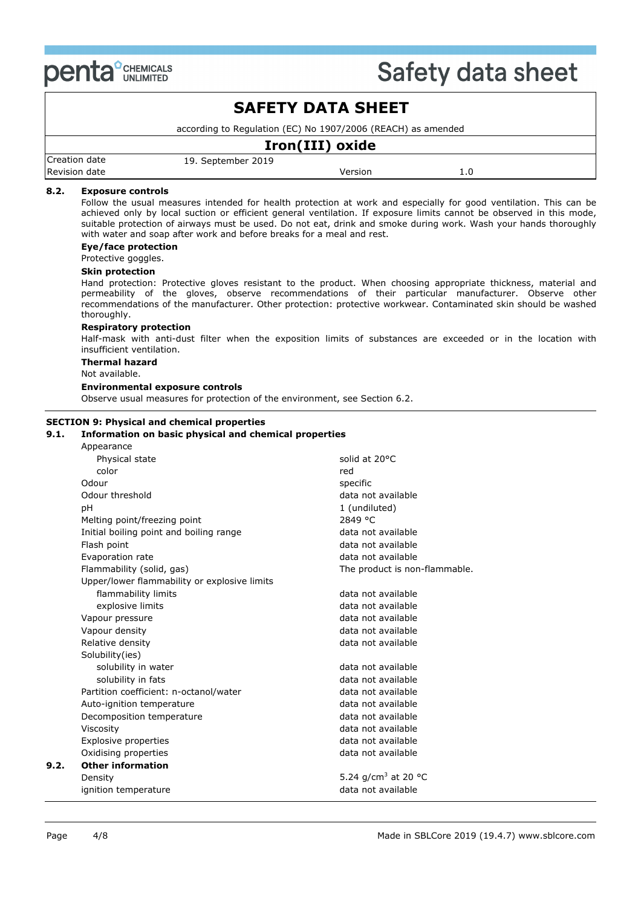

# **SAFETY DATA SHEET**

according to Regulation (EC) No 1907/2006 (REACH) as amended

| Iron(III) oxide |                    |         |  |  |
|-----------------|--------------------|---------|--|--|
| Creation date   | 19. September 2019 |         |  |  |
| Revision date   |                    | Version |  |  |

#### **8.2. Exposure controls**

Follow the usual measures intended for health protection at work and especially for good ventilation. This can be achieved only by local suction or efficient general ventilation. If exposure limits cannot be observed in this mode, suitable protection of airways must be used. Do not eat, drink and smoke during work. Wash your hands thoroughly with water and soap after work and before breaks for a meal and rest.

#### **Eye/face protection**

Protective goggles.

#### **Skin protection**

Hand protection: Protective gloves resistant to the product. When choosing appropriate thickness, material and permeability of the gloves, observe recommendations of their particular manufacturer. Observe other recommendations of the manufacturer. Other protection: protective workwear. Contaminated skin should be washed thoroughly.

#### **Respiratory protection**

Half-mask with anti-dust filter when the exposition limits of substances are exceeded or in the location with insufficient ventilation.

#### **Thermal hazard**

Not available.

#### **Environmental exposure controls**

Observe usual measures for protection of the environment, see Section 6.2.

#### **SECTION 9: Physical and chemical properties**

#### **9.1. Information on basic physical and chemical properties**

| Appearance                                   |                                 |
|----------------------------------------------|---------------------------------|
| Physical state                               | solid at 20°C                   |
| color                                        | red                             |
| Odour                                        | specific                        |
| Odour threshold                              | data not available              |
| рH                                           | 1 (undiluted)                   |
| Melting point/freezing point                 | 2849 °C                         |
| Initial boiling point and boiling range      | data not available              |
| Flash point                                  | data not available              |
| Evaporation rate                             | data not available              |
| Flammability (solid, gas)                    | The product is non-flammable.   |
| Upper/lower flammability or explosive limits |                                 |
| flammability limits                          | data not available              |
| explosive limits                             | data not available              |
| Vapour pressure                              | data not available              |
| Vapour density                               | data not available              |
| Relative density                             | data not available              |
| Solubility(ies)                              |                                 |
| solubility in water                          | data not available              |
| solubility in fats                           | data not available              |
| Partition coefficient: n-octanol/water       | data not available              |
| Auto-ignition temperature                    | data not available              |
| Decomposition temperature                    | data not available              |
| Viscosity                                    | data not available              |
| <b>Explosive properties</b>                  | data not available              |
| Oxidising properties                         | data not available              |
| <b>Other information</b>                     |                                 |
| Density                                      | 5.24 g/cm <sup>3</sup> at 20 °C |
| ignition temperature                         | data not available              |
|                                              |                                 |

**9.2.**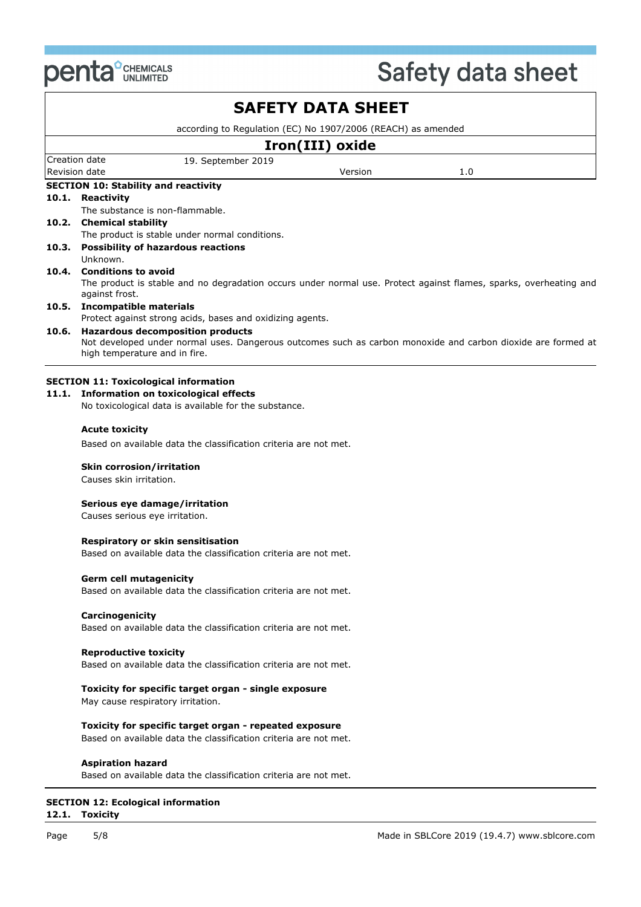

| <b>SAFETY DATA SHEET</b>                                     |                                                                                                                                               |  |  |  |  |  |
|--------------------------------------------------------------|-----------------------------------------------------------------------------------------------------------------------------------------------|--|--|--|--|--|
| according to Regulation (EC) No 1907/2006 (REACH) as amended |                                                                                                                                               |  |  |  |  |  |
|                                                              | Iron(III) oxide                                                                                                                               |  |  |  |  |  |
|                                                              | Creation date<br>19. September 2019                                                                                                           |  |  |  |  |  |
|                                                              | Revision date<br>Version<br>1.0                                                                                                               |  |  |  |  |  |
|                                                              | <b>SECTION 10: Stability and reactivity</b>                                                                                                   |  |  |  |  |  |
|                                                              | 10.1. Reactivity                                                                                                                              |  |  |  |  |  |
|                                                              | The substance is non-flammable.                                                                                                               |  |  |  |  |  |
|                                                              | 10.2. Chemical stability                                                                                                                      |  |  |  |  |  |
|                                                              | The product is stable under normal conditions.<br>10.3. Possibility of hazardous reactions                                                    |  |  |  |  |  |
|                                                              | Unknown.                                                                                                                                      |  |  |  |  |  |
|                                                              | 10.4. Conditions to avoid                                                                                                                     |  |  |  |  |  |
|                                                              | The product is stable and no degradation occurs under normal use. Protect against flames, sparks, overheating and<br>against frost.           |  |  |  |  |  |
|                                                              | 10.5. Incompatible materials                                                                                                                  |  |  |  |  |  |
|                                                              | Protect against strong acids, bases and oxidizing agents.                                                                                     |  |  |  |  |  |
| 10.6.                                                        | <b>Hazardous decomposition products</b>                                                                                                       |  |  |  |  |  |
|                                                              | Not developed under normal uses. Dangerous outcomes such as carbon monoxide and carbon dioxide are formed at<br>high temperature and in fire. |  |  |  |  |  |
|                                                              |                                                                                                                                               |  |  |  |  |  |
|                                                              | <b>SECTION 11: Toxicological information</b>                                                                                                  |  |  |  |  |  |
|                                                              | 11.1. Information on toxicological effects                                                                                                    |  |  |  |  |  |
|                                                              | No toxicological data is available for the substance.                                                                                         |  |  |  |  |  |
|                                                              |                                                                                                                                               |  |  |  |  |  |
|                                                              | <b>Acute toxicity</b>                                                                                                                         |  |  |  |  |  |
|                                                              | Based on available data the classification criteria are not met.                                                                              |  |  |  |  |  |
|                                                              | Skin corrosion/irritation                                                                                                                     |  |  |  |  |  |
|                                                              | Causes skin irritation.                                                                                                                       |  |  |  |  |  |
|                                                              |                                                                                                                                               |  |  |  |  |  |
|                                                              | Serious eye damage/irritation                                                                                                                 |  |  |  |  |  |
|                                                              | Causes serious eye irritation.                                                                                                                |  |  |  |  |  |
|                                                              |                                                                                                                                               |  |  |  |  |  |
|                                                              | Respiratory or skin sensitisation                                                                                                             |  |  |  |  |  |
|                                                              | Based on available data the classification criteria are not met.                                                                              |  |  |  |  |  |
|                                                              | <b>Germ cell mutagenicity</b>                                                                                                                 |  |  |  |  |  |
|                                                              | Based on available data the classification criteria are not met.                                                                              |  |  |  |  |  |
|                                                              |                                                                                                                                               |  |  |  |  |  |
|                                                              | Carcinogenicity                                                                                                                               |  |  |  |  |  |
|                                                              | Based on available data the classification criteria are not met.                                                                              |  |  |  |  |  |
|                                                              |                                                                                                                                               |  |  |  |  |  |
|                                                              | <b>Reproductive toxicity</b>                                                                                                                  |  |  |  |  |  |
|                                                              | Based on available data the classification criteria are not met.                                                                              |  |  |  |  |  |
|                                                              | Toxicity for specific target organ - single exposure                                                                                          |  |  |  |  |  |
|                                                              | May cause respiratory irritation.                                                                                                             |  |  |  |  |  |
|                                                              |                                                                                                                                               |  |  |  |  |  |
|                                                              | Toxicity for specific target organ - repeated exposure                                                                                        |  |  |  |  |  |
|                                                              | Based on available data the classification criteria are not met.                                                                              |  |  |  |  |  |
|                                                              |                                                                                                                                               |  |  |  |  |  |
|                                                              | <b>Aspiration hazard</b>                                                                                                                      |  |  |  |  |  |
|                                                              | Based on available data the classification criteria are not met.                                                                              |  |  |  |  |  |
|                                                              |                                                                                                                                               |  |  |  |  |  |

#### **SECTION 12: Ecological information 12.1. Toxicity**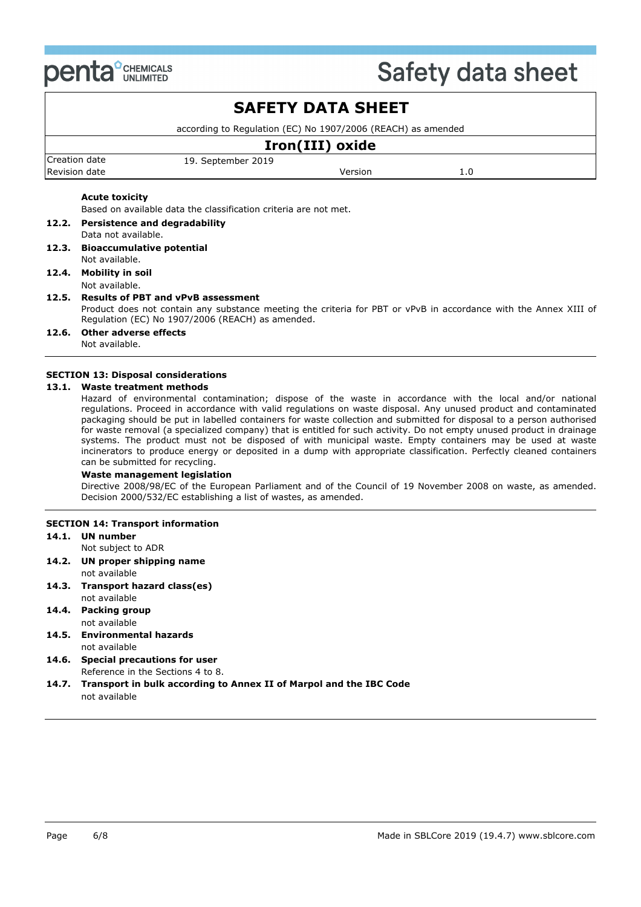

# **SAFETY DATA SHEET**

according to Regulation (EC) No 1907/2006 (REACH) as amended

### Creation date 19. September 2019 Revision date Version 1.0 **Iron(III) oxide**

### **Acute toxicity**

Based on available data the classification criteria are not met.

- **12.2. Persistence and degradability**
- Data not available.
- **12.3. Bioaccumulative potential** Not available.

#### **12.4. Mobility in soil** Not available.

### **12.5. Results of PBT and vPvB assessment**

Product does not contain any substance meeting the criteria for PBT or vPvB in accordance with the Annex XIII of Regulation (EC) No 1907/2006 (REACH) as amended.

### **12.6. Other adverse effects**

Not available.

#### **SECTION 13: Disposal considerations**

#### **13.1. Waste treatment methods**

Hazard of environmental contamination; dispose of the waste in accordance with the local and/or national regulations. Proceed in accordance with valid regulations on waste disposal. Any unused product and contaminated packaging should be put in labelled containers for waste collection and submitted for disposal to a person authorised for waste removal (a specialized company) that is entitled for such activity. Do not empty unused product in drainage systems. The product must not be disposed of with municipal waste. Empty containers may be used at waste incinerators to produce energy or deposited in a dump with appropriate classification. Perfectly cleaned containers can be submitted for recycling.

#### **Waste management legislation**

Directive 2008/98/EC of the European Parliament and of the Council of 19 November 2008 on waste, as amended. Decision 2000/532/EC establishing a list of wastes, as amended.

### **SECTION 14: Transport information**

### **14.1. UN number**

- Not subject to ADR
- **14.2. UN proper shipping name** not available
- **14.3. Transport hazard class(es)**
- not available **14.4. Packing group** not available
- **14.5. Environmental hazards** not available
- **14.6. Special precautions for user** Reference in the Sections 4 to 8.
- **14.7. Transport in bulk according to Annex II of Marpol and the IBC Code** not available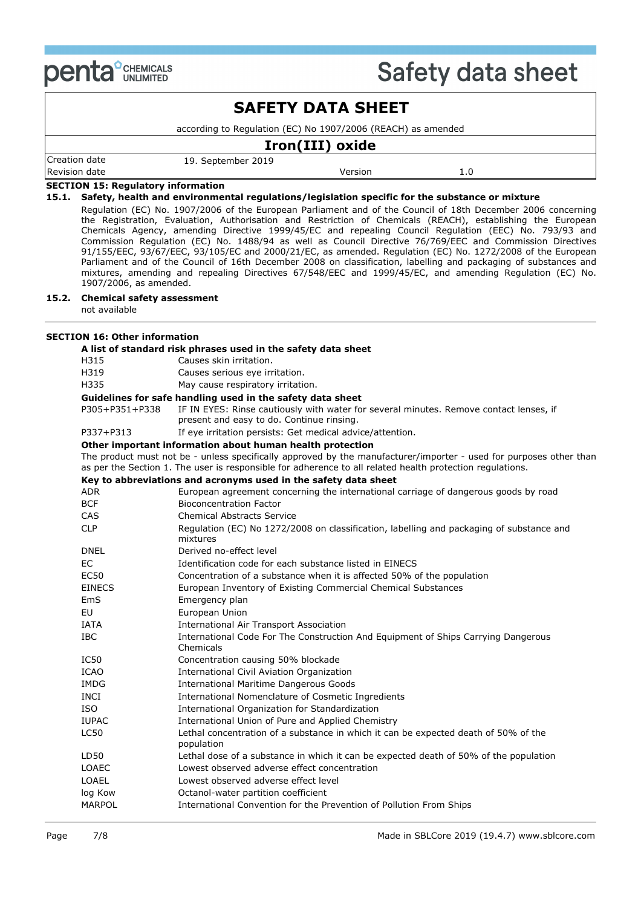

| <b>SAFETY DATA SHEET</b><br>according to Regulation (EC) No 1907/2006 (REACH) as amended<br>Iron(III) oxide |  |  |  |  |                                 |                    |  |  |  |
|-------------------------------------------------------------------------------------------------------------|--|--|--|--|---------------------------------|--------------------|--|--|--|
|                                                                                                             |  |  |  |  | Creation date                   | 19. September 2019 |  |  |  |
|                                                                                                             |  |  |  |  | Revision date<br>Version<br>1.0 |                    |  |  |  |
| <b>SECTION 15: Regulatory information</b>                                                                   |  |  |  |  |                                 |                    |  |  |  |

#### **15.1. Safety, health and environmental regulations/legislation specific for the substance or mixture**

Regulation (EC) No. 1907/2006 of the European Parliament and of the Council of 18th December 2006 concerning the Registration, Evaluation, Authorisation and Restriction of Chemicals (REACH), establishing the European Chemicals Agency, amending Directive 1999/45/EC and repealing Council Regulation (EEC) No. 793/93 and Commission Regulation (EC) No. 1488/94 as well as Council Directive 76/769/EEC and Commission Directives 91/155/EEC, 93/67/EEC, 93/105/EC and 2000/21/EC, as amended. Regulation (EC) No. 1272/2008 of the European Parliament and of the Council of 16th December 2008 on classification, labelling and packaging of substances and mixtures, amending and repealing Directives 67/548/EEC and 1999/45/EC, and amending Regulation (EC) No. 1907/2006, as amended.

#### **15.2. Chemical safety assessment**

not available

## **SECTION 16: Other information**

|                                           | A list of standard risk phrases used in the safety data sheet                                                                                                                                                                   |  |  |  |  |
|-------------------------------------------|---------------------------------------------------------------------------------------------------------------------------------------------------------------------------------------------------------------------------------|--|--|--|--|
| H315                                      | Causes skin irritation.                                                                                                                                                                                                         |  |  |  |  |
| H319                                      | Causes serious eye irritation.                                                                                                                                                                                                  |  |  |  |  |
| H335<br>May cause respiratory irritation. |                                                                                                                                                                                                                                 |  |  |  |  |
|                                           | Guidelines for safe handling used in the safety data sheet                                                                                                                                                                      |  |  |  |  |
| P305+P351+P338                            | IF IN EYES: Rinse cautiously with water for several minutes. Remove contact lenses, if<br>present and easy to do. Continue rinsing.                                                                                             |  |  |  |  |
| P337+P313                                 | If eye irritation persists: Get medical advice/attention.                                                                                                                                                                       |  |  |  |  |
|                                           | Other important information about human health protection                                                                                                                                                                       |  |  |  |  |
|                                           | The product must not be - unless specifically approved by the manufacturer/importer - used for purposes other than<br>as per the Section 1. The user is responsible for adherence to all related health protection regulations. |  |  |  |  |
|                                           | Key to abbreviations and acronyms used in the safety data sheet                                                                                                                                                                 |  |  |  |  |
| ADR                                       | European agreement concerning the international carriage of dangerous goods by road                                                                                                                                             |  |  |  |  |
| <b>BCF</b>                                | <b>Bioconcentration Factor</b>                                                                                                                                                                                                  |  |  |  |  |
| <b>CAS</b>                                | <b>Chemical Abstracts Service</b>                                                                                                                                                                                               |  |  |  |  |
| <b>CLP</b>                                | Regulation (EC) No 1272/2008 on classification, labelling and packaging of substance and<br>mixtures                                                                                                                            |  |  |  |  |
| DNEL                                      | Derived no-effect level                                                                                                                                                                                                         |  |  |  |  |
| <b>EC</b>                                 | Identification code for each substance listed in EINECS                                                                                                                                                                         |  |  |  |  |
| <b>EC50</b>                               | Concentration of a substance when it is affected 50% of the population                                                                                                                                                          |  |  |  |  |
| <b>EINECS</b>                             | European Inventory of Existing Commercial Chemical Substances                                                                                                                                                                   |  |  |  |  |
| EmS                                       | Emergency plan                                                                                                                                                                                                                  |  |  |  |  |
| EU                                        | European Union                                                                                                                                                                                                                  |  |  |  |  |
| <b>IATA</b>                               | International Air Transport Association                                                                                                                                                                                         |  |  |  |  |
| IBC                                       | International Code For The Construction And Equipment of Ships Carrying Dangerous<br>Chemicals                                                                                                                                  |  |  |  |  |
| <b>IC50</b>                               | Concentration causing 50% blockade                                                                                                                                                                                              |  |  |  |  |
| <b>ICAO</b>                               | <b>International Civil Aviation Organization</b>                                                                                                                                                                                |  |  |  |  |
| <b>IMDG</b>                               | <b>International Maritime Dangerous Goods</b>                                                                                                                                                                                   |  |  |  |  |
| INCI                                      | International Nomenclature of Cosmetic Ingredients                                                                                                                                                                              |  |  |  |  |
| ISO                                       | International Organization for Standardization                                                                                                                                                                                  |  |  |  |  |
| <b>IUPAC</b>                              | International Union of Pure and Applied Chemistry                                                                                                                                                                               |  |  |  |  |
| <b>LC50</b>                               | Lethal concentration of a substance in which it can be expected death of 50% of the<br>population                                                                                                                               |  |  |  |  |
| LD50                                      | Lethal dose of a substance in which it can be expected death of 50% of the population                                                                                                                                           |  |  |  |  |
| LOAEC                                     | Lowest observed adverse effect concentration                                                                                                                                                                                    |  |  |  |  |
| <b>LOAEL</b>                              | Lowest observed adverse effect level                                                                                                                                                                                            |  |  |  |  |
| log Kow                                   | Octanol-water partition coefficient                                                                                                                                                                                             |  |  |  |  |
| <b>MARPOL</b>                             | International Convention for the Prevention of Pollution From Ships                                                                                                                                                             |  |  |  |  |